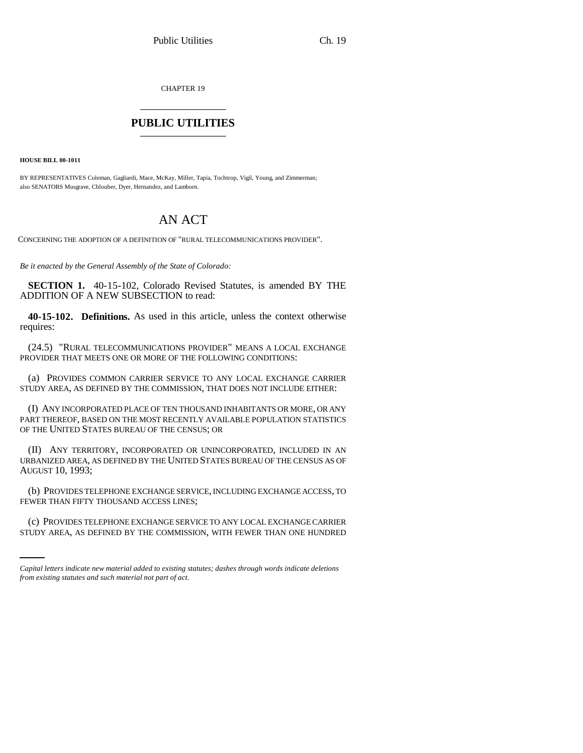CHAPTER 19 \_\_\_\_\_\_\_\_\_\_\_\_\_\_\_

## **PUBLIC UTILITIES** \_\_\_\_\_\_\_\_\_\_\_\_\_\_\_

**HOUSE BILL 00-1011** 

BY REPRESENTATIVES Coleman, Gagliardi, Mace, McKay, Miller, Tapia, Tochtrop, Vigil, Young, and Zimmerman; also SENATORS Musgrave, Chlouber, Dyer, Hernandez, and Lamborn.

## AN ACT

CONCERNING THE ADOPTION OF A DEFINITION OF "RURAL TELECOMMUNICATIONS PROVIDER".

*Be it enacted by the General Assembly of the State of Colorado:*

**SECTION 1.** 40-15-102, Colorado Revised Statutes, is amended BY THE ADDITION OF A NEW SUBSECTION to read:

**40-15-102. Definitions.** As used in this article, unless the context otherwise requires:

(24.5) "RURAL TELECOMMUNICATIONS PROVIDER" MEANS A LOCAL EXCHANGE PROVIDER THAT MEETS ONE OR MORE OF THE FOLLOWING CONDITIONS:

(a) PROVIDES COMMON CARRIER SERVICE TO ANY LOCAL EXCHANGE CARRIER STUDY AREA, AS DEFINED BY THE COMMISSION, THAT DOES NOT INCLUDE EITHER:

(I) ANY INCORPORATED PLACE OF TEN THOUSAND INHABITANTS OR MORE, OR ANY PART THEREOF, BASED ON THE MOST RECENTLY AVAILABLE POPULATION STATISTICS OF THE UNITED STATES BUREAU OF THE CENSUS; OR

(II) ANY TERRITORY, INCORPORATED OR UNINCORPORATED, INCLUDED IN AN URBANIZED AREA, AS DEFINED BY THE UNITED STATES BUREAU OF THE CENSUS AS OF AUGUST 10, 1993;

FEWER THAN FIFTY THOUSAND ACCESS LINES; (b) PROVIDES TELEPHONE EXCHANGE SERVICE, INCLUDING EXCHANGE ACCESS, TO

(c) PROVIDES TELEPHONE EXCHANGE SERVICE TO ANY LOCAL EXCHANGE CARRIER STUDY AREA, AS DEFINED BY THE COMMISSION, WITH FEWER THAN ONE HUNDRED

*Capital letters indicate new material added to existing statutes; dashes through words indicate deletions from existing statutes and such material not part of act.*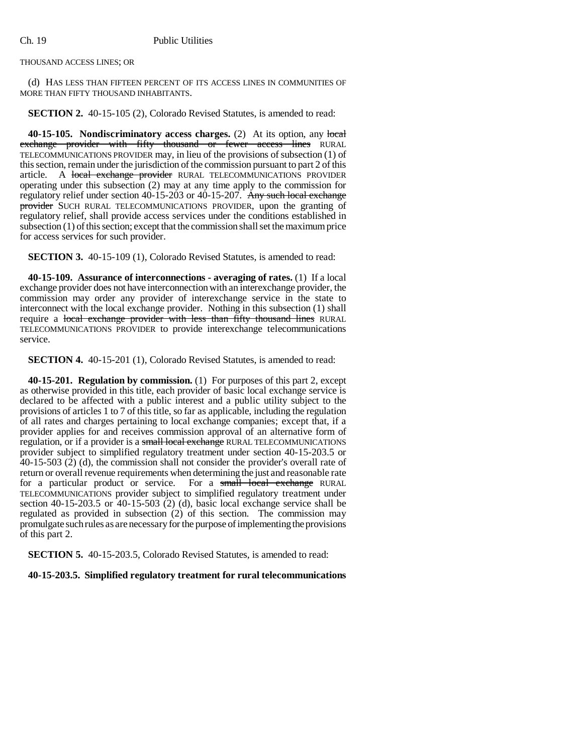THOUSAND ACCESS LINES; OR

(d) HAS LESS THAN FIFTEEN PERCENT OF ITS ACCESS LINES IN COMMUNITIES OF MORE THAN FIFTY THOUSAND INHABITANTS.

**SECTION 2.** 40-15-105 (2), Colorado Revised Statutes, is amended to read:

**40-15-105.** Nondiscriminatory access charges. (2) At its option, any local exchange provider with fifty thousand or fewer access lines RURAL TELECOMMUNICATIONS PROVIDER may, in lieu of the provisions of subsection (1) of this section, remain under the jurisdiction of the commission pursuant to part 2 of this article. A local exchange provider RURAL TELECOMMUNICATIONS PROVIDER operating under this subsection (2) may at any time apply to the commission for regulatory relief under section 40-15-203 or 40-15-207. Any such local exchange provider SUCH RURAL TELECOMMUNICATIONS PROVIDER, upon the granting of regulatory relief, shall provide access services under the conditions established in subsection (1) of this section; except that the commission shall set the maximum price for access services for such provider.

**SECTION 3.** 40-15-109 (1), Colorado Revised Statutes, is amended to read:

**40-15-109. Assurance of interconnections - averaging of rates.** (1) If a local exchange provider does not have interconnection with an interexchange provider, the commission may order any provider of interexchange service in the state to interconnect with the local exchange provider. Nothing in this subsection (1) shall require a local exchange provider with less than fifty thousand lines RURAL TELECOMMUNICATIONS PROVIDER to provide interexchange telecommunications service.

**SECTION 4.** 40-15-201 (1), Colorado Revised Statutes, is amended to read:

**40-15-201. Regulation by commission.** (1) For purposes of this part 2, except as otherwise provided in this title, each provider of basic local exchange service is declared to be affected with a public interest and a public utility subject to the provisions of articles 1 to 7 of this title, so far as applicable, including the regulation of all rates and charges pertaining to local exchange companies; except that, if a provider applies for and receives commission approval of an alternative form of regulation, or if a provider is a small local exchange RURAL TELECOMMUNICATIONS provider subject to simplified regulatory treatment under section 40-15-203.5 or 40-15-503 (2) (d), the commission shall not consider the provider's overall rate of return or overall revenue requirements when determining the just and reasonable rate for a particular product or service. For a small local exchange RURAL TELECOMMUNICATIONS provider subject to simplified regulatory treatment under section 40-15-203.5 or 40-15-503 (2) (d), basic local exchange service shall be regulated as provided in subsection (2) of this section. The commission may promulgate such rules as are necessary for the purpose of implementing the provisions of this part 2.

**SECTION 5.** 40-15-203.5, Colorado Revised Statutes, is amended to read:

## **40-15-203.5. Simplified regulatory treatment for rural telecommunications**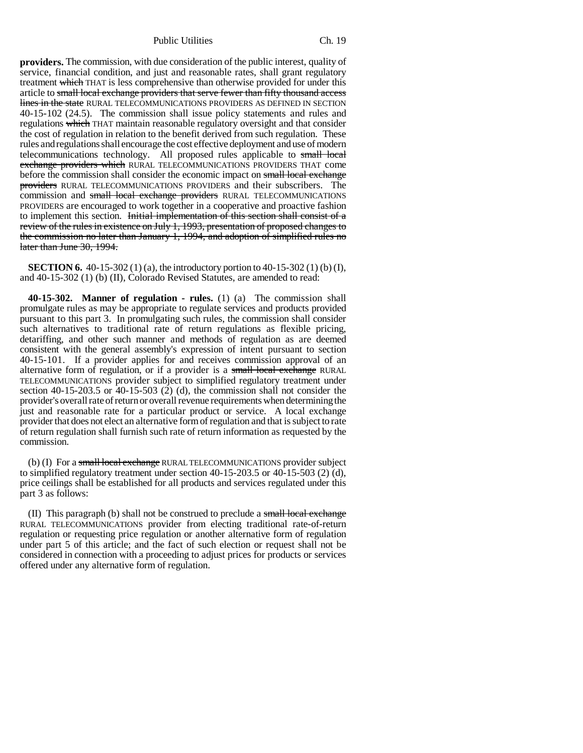Public Utilities Ch. 19

**providers.** The commission, with due consideration of the public interest, quality of service, financial condition, and just and reasonable rates, shall grant regulatory treatment which THAT is less comprehensive than otherwise provided for under this article to small local exchange providers that serve fewer than fifty thousand access lines in the state RURAL TELECOMMUNICATIONS PROVIDERS AS DEFINED IN SECTION 40-15-102 (24.5). The commission shall issue policy statements and rules and regulations which THAT maintain reasonable regulatory oversight and that consider the cost of regulation in relation to the benefit derived from such regulation. These rules and regulations shall encourage the cost effective deployment and use of modern telecommunications technology. All proposed rules applicable to small local exchange providers which RURAL TELECOMMUNICATIONS PROVIDERS THAT come before the commission shall consider the economic impact on small local exchange providers RURAL TELECOMMUNICATIONS PROVIDERS and their subscribers. The commission and small local exchange providers RURAL TELECOMMUNICATIONS PROVIDERS are encouraged to work together in a cooperative and proactive fashion to implement this section. Initial implementation of this section shall consist of a review of the rules in existence on July 1, 1993, presentation of proposed changes to the commission no later than January 1, 1994, and adoption of simplified rules no later than June 30, 1994.

**SECTION 6.** 40-15-302 (1) (a), the introductory portion to 40-15-302 (1) (b) (I), and 40-15-302 (1) (b) (II), Colorado Revised Statutes, are amended to read:

**40-15-302. Manner of regulation - rules.** (1) (a) The commission shall promulgate rules as may be appropriate to regulate services and products provided pursuant to this part 3. In promulgating such rules, the commission shall consider such alternatives to traditional rate of return regulations as flexible pricing, detariffing, and other such manner and methods of regulation as are deemed consistent with the general assembly's expression of intent pursuant to section 40-15-101. If a provider applies for and receives commission approval of an alternative form of regulation, or if a provider is a small local exchange RURAL TELECOMMUNICATIONS provider subject to simplified regulatory treatment under section 40-15-203.5 or 40-15-503 (2) (d), the commission shall not consider the provider's overall rate of return or overall revenue requirements when determining the just and reasonable rate for a particular product or service. A local exchange provider that does not elect an alternative form of regulation and that is subject to rate of return regulation shall furnish such rate of return information as requested by the commission.

(b) (I) For a small local exchange RURAL TELECOMMUNICATIONS provider subject to simplified regulatory treatment under section  $40-15-203.5$  or  $40-15-503$  (2) (d), price ceilings shall be established for all products and services regulated under this part 3 as follows:

(II) This paragraph (b) shall not be construed to preclude a small local exchange RURAL TELECOMMUNICATIONS provider from electing traditional rate-of-return regulation or requesting price regulation or another alternative form of regulation under part 5 of this article; and the fact of such election or request shall not be considered in connection with a proceeding to adjust prices for products or services offered under any alternative form of regulation.